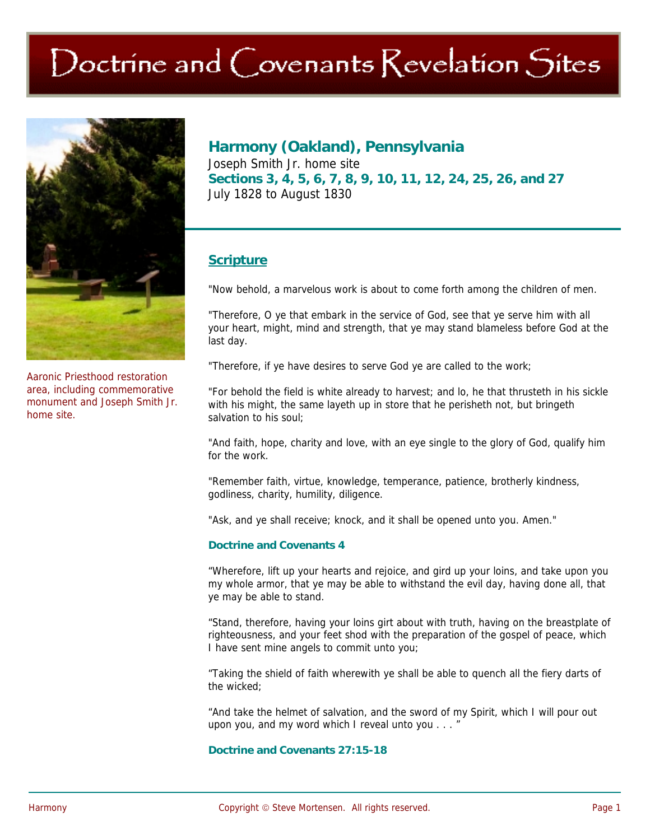# $\operatorname{Dectrine}$  and  $\operatorname{Corenants}$  Revelation  $\operatorname{Sites}$



Aaronic Priesthood restoration area, including commemorative monument and Joseph Smith Jr. home site.

# **Harmony (Oakland), Pennsylvania**

Joseph Smith Jr. home site **Sections 3, 4, 5, 6, 7, 8, 9, 10, 11, 12, 24, 25, 26, and 27**  July 1828 to August 1830

## **Scripture**

"Now behold, a marvelous work is about to come forth among the children of men.

"Therefore, O ye that embark in the service of God, see that ye serve him with all your heart, might, mind and strength, that ye may stand blameless before God at the last day.

"Therefore, if ye have desires to serve God ye are called to the work;

"For behold the field is white already to harvest; and lo, he that thrusteth in his sickle with his might, the same layeth up in store that he perisheth not, but bringeth salvation to his soul;

"And faith, hope, charity and love, with an eye single to the glory of God, qualify him for the work.

"Remember faith, virtue, knowledge, temperance, patience, brotherly kindness, godliness, charity, humility, diligence.

"Ask, and ye shall receive; knock, and it shall be opened unto you. Amen."

#### **Doctrine and Covenants 4**

"Wherefore, lift up your hearts and rejoice, and gird up your loins, and take upon you my whole armor, that ye may be able to withstand the evil day, having done all, that ye may be able to stand.

"Stand, therefore, having your loins girt about with truth, having on the breastplate of righteousness, and your feet shod with the preparation of the gospel of peace, which I have sent mine angels to commit unto you;

"Taking the shield of faith wherewith ye shall be able to quench all the fiery darts of the wicked;

"And take the helmet of salvation, and the sword of my Spirit, which I will pour out upon you, and my word which I reveal unto you . . . "

#### **Doctrine and Covenants 27:15-18**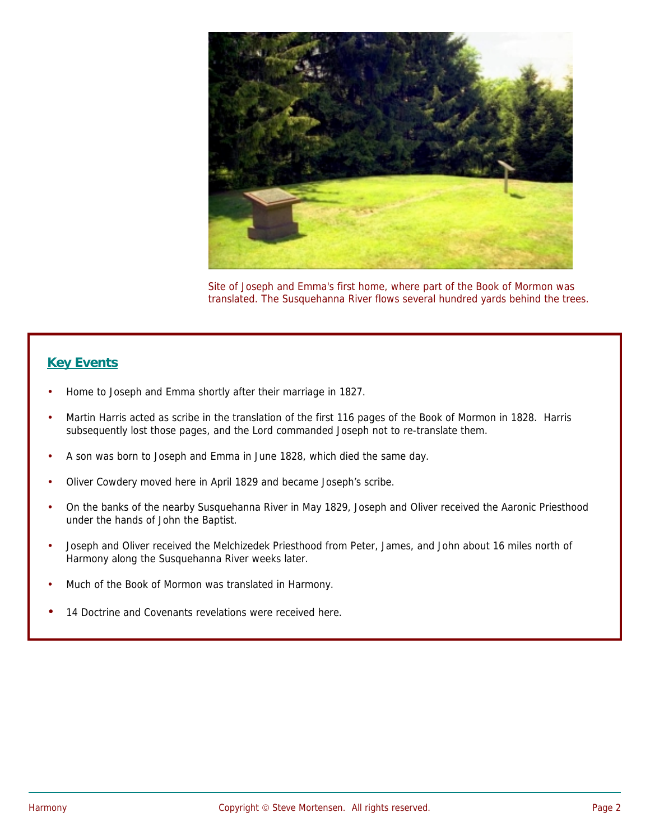

Site of Joseph and Emma's first home, where part of the Book of Mormon was translated. The Susquehanna River flows several hundred yards behind the trees.

### **Key Events**

- Home to Joseph and Emma shortly after their marriage in 1827.
- Martin Harris acted as scribe in the translation of the first 116 pages of the Book of Mormon in 1828. Harris subsequently lost those pages, and the Lord commanded Joseph not to re-translate them.
- A son was born to Joseph and Emma in June 1828, which died the same day.
- Oliver Cowdery moved here in April 1829 and became Joseph's scribe.
- On the banks of the nearby Susquehanna River in May 1829, Joseph and Oliver received the Aaronic Priesthood under the hands of John the Baptist.
- Joseph and Oliver received the Melchizedek Priesthood from Peter, James, and John about 16 miles north of Harmony along the Susquehanna River weeks later.
- Much of the Book of Mormon was translated in Harmony.
- 14 Doctrine and Covenants revelations were received here.